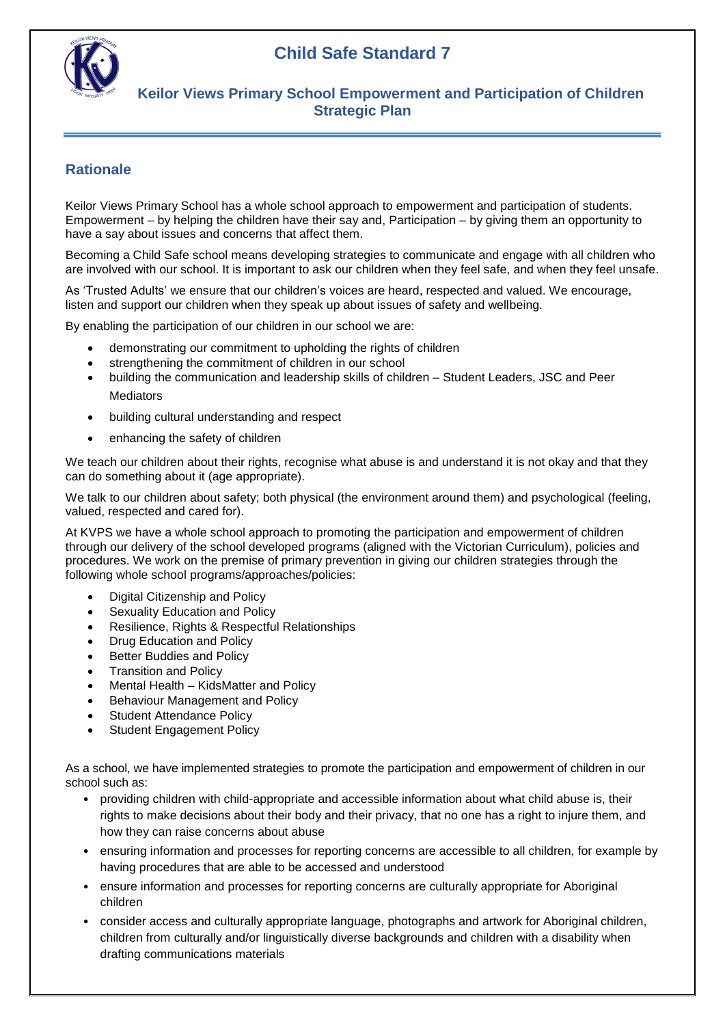## **Child Safe Standard 7**



#### **Keilor Views Primary School Empowerment and Participation of Children Strategic Plan**

#### **Rationale**

Keilor Views Primary School has a whole school approach to empowerment and participation of students. Empowerment – by helping the children have their say and, Participation – by giving them an opportunity to have a say about issues and concerns that affect them.

Becoming a Child Safe school means developing strategies to communicate and engage with all children who are involved with our school. It is important to ask our children when they feel safe, and when they feel unsafe.

As 'Trusted Adults' we ensure that our children's voices are heard, respected and valued. We encourage, listen and support our children when they speak up about issues of safety and wellbeing.

By enabling the participation of our children in our school we are:

- demonstrating our commitment to upholding the rights of children
- strengthening the commitment of children in our school
- building the communication and leadership skills of children Student Leaders, JSC and Peer Mediators
- building cultural understanding and respect
- enhancing the safety of children

We teach our children about their rights, recognise what abuse is and understand it is not okay and that they can do something about it (age appropriate).

We talk to our children about safety; both physical (the environment around them) and psychological (feeling, valued, respected and cared for).

At KVPS we have a whole school approach to promoting the participation and empowerment of children through our delivery of the school developed programs (aligned with the Victorian Curriculum), policies and procedures. We work on the premise of primary prevention in giving our children strategies through the following whole school programs/approaches/policies:

- Digital Citizenship and Policy
- Sexuality Education and Policy
- Resilience, Rights & Respectful Relationships
- Drug Education and Policy
- Better Buddies and Policy
- Transition and Policy
- Mental Health KidsMatter and Policy
- Behaviour Management and Policy
- Student Attendance Policy
- Student Engagement Policy

As a school, we have implemented strategies to promote the participation and empowerment of children in our school such as:

- providing children with child-appropriate and accessible information about what child abuse is, their rights to make decisions about their body and their privacy, that no one has a right to injure them, and how they can raise concerns about abuse
- ensuring information and processes for reporting concerns are accessible to all children, for example by having procedures that are able to be accessed and understood
- ensure information and processes for reporting concerns are culturally appropriate for Aboriginal children
- consider access and culturally appropriate language, photographs and artwork for Aboriginal children, children from culturally and/or linguistically diverse backgrounds and children with a disability when drafting communications materials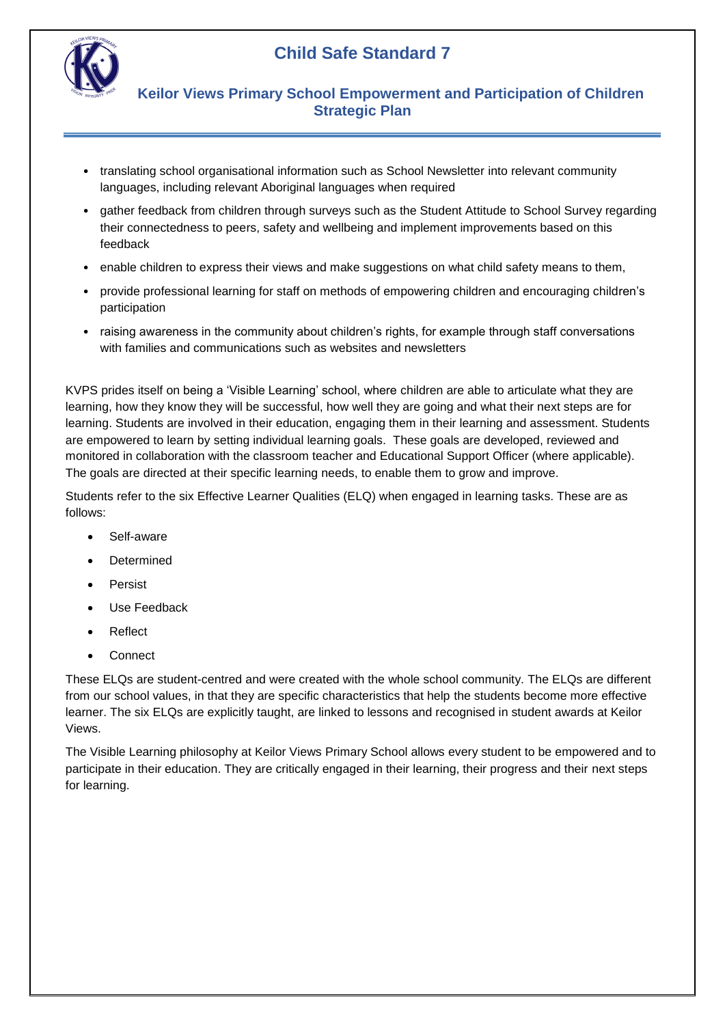



### **Keilor Views Primary School Empowerment and Participation of Children Strategic Plan**

- translating school organisational information such as School Newsletter into relevant community languages, including relevant Aboriginal languages when required
- gather feedback from children through surveys such as the Student Attitude to School Survey regarding their connectedness to peers, safety and wellbeing and implement improvements based on this feedback
- enable children to express their views and make suggestions on what child safety means to them,
- provide professional learning for staff on methods of empowering children and encouraging children's participation
- raising awareness in the community about children's rights, for example through staff conversations with families and communications such as websites and newsletters

KVPS prides itself on being a 'Visible Learning' school, where children are able to articulate what they are learning, how they know they will be successful, how well they are going and what their next steps are for learning. Students are involved in their education, engaging them in their learning and assessment. Students are empowered to learn by setting individual learning goals. These goals are developed, reviewed and monitored in collaboration with the classroom teacher and Educational Support Officer (where applicable). The goals are directed at their specific learning needs, to enable them to grow and improve.

Students refer to the six Effective Learner Qualities (ELQ) when engaged in learning tasks. These are as follows:

- Self-aware
- Determined
- Persist
- Use Feedback
- Reflect
- **Connect**

These ELQs are student-centred and were created with the whole school community. The ELQs are different from our school values, in that they are specific characteristics that help the students become more effective learner. The six ELQs are explicitly taught, are linked to lessons and recognised in student awards at Keilor Views.

The Visible Learning philosophy at Keilor Views Primary School allows every student to be empowered and to participate in their education. They are critically engaged in their learning, their progress and their next steps for learning.